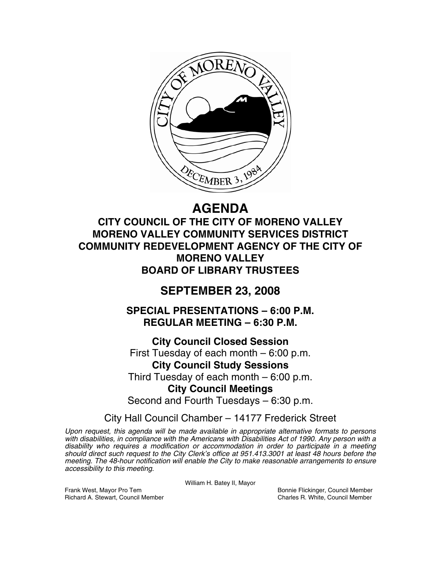

# **AGENDA**

**CITY COUNCIL OF THE CITY OF MORENO VALLEY MORENO VALLEY COMMUNITY SERVICES DISTRICT COMMUNITY REDEVELOPMENT AGENCY OF THE CITY OF MORENO VALLEY BOARD OF LIBRARY TRUSTEES** 

## **SEPTEMBER 23, 2008**

**SPECIAL PRESENTATIONS – 6:00 P.M. REGULAR MEETING – 6:30 P.M.** 

**City Council Closed Session**  First Tuesday of each month – 6:00 p.m. **City Council Study Sessions**  Third Tuesday of each month – 6:00 p.m.

**City Council Meetings** 

Second and Fourth Tuesdays – 6:30 p.m.

City Hall Council Chamber – 14177 Frederick Street

*Upon request, this agenda will be made available in appropriate alternative formats to persons with disabilities, in compliance with the Americans with Disabilities Act of 1990. Any person with a disability who requires a modification or accommodation in order to participate in a meeting should direct such request to the City Clerk's office at 951.413.3001 at least 48 hours before the meeting. The 48-hour notification will enable the City to make reasonable arrangements to ensure accessibility to this meeting.* 

William H. Batey II, Mayor

Frank West, Mayor Pro Tem Bonnie Flickinger, Council Member<br>Richard A. Stewart. Council Member Network Charles R. White. Council Member Richard A. Stewart, Council Member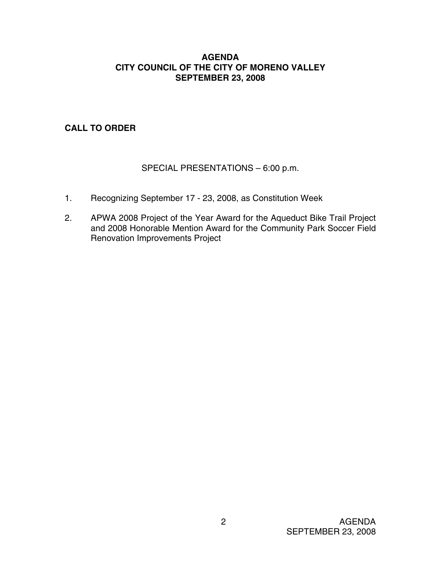## **AGENDA CITY COUNCIL OF THE CITY OF MORENO VALLEY SEPTEMBER 23, 2008**

## **CALL TO ORDER**

## SPECIAL PRESENTATIONS – 6:00 p.m.

- 1. Recognizing September 17 23, 2008, as Constitution Week
- 2. APWA 2008 Project of the Year Award for the Aqueduct Bike Trail Project and 2008 Honorable Mention Award for the Community Park Soccer Field Renovation Improvements Project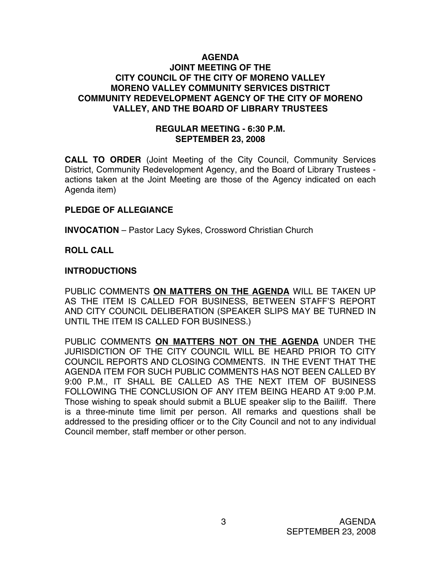## **AGENDA JOINT MEETING OF THE CITY COUNCIL OF THE CITY OF MORENO VALLEY MORENO VALLEY COMMUNITY SERVICES DISTRICT COMMUNITY REDEVELOPMENT AGENCY OF THE CITY OF MORENO VALLEY, AND THE BOARD OF LIBRARY TRUSTEES**

## **REGULAR MEETING - 6:30 P.M. SEPTEMBER 23, 2008**

**CALL TO ORDER** (Joint Meeting of the City Council, Community Services District, Community Redevelopment Agency, and the Board of Library Trustees actions taken at the Joint Meeting are those of the Agency indicated on each Agenda item)

## **PLEDGE OF ALLEGIANCE**

**INVOCATION** – Pastor Lacy Sykes, Crossword Christian Church

## **ROLL CALL**

## **INTRODUCTIONS**

PUBLIC COMMENTS **ON MATTERS ON THE AGENDA** WILL BE TAKEN UP AS THE ITEM IS CALLED FOR BUSINESS, BETWEEN STAFF'S REPORT AND CITY COUNCIL DELIBERATION (SPEAKER SLIPS MAY BE TURNED IN UNTIL THE ITEM IS CALLED FOR BUSINESS.)

PUBLIC COMMENTS **ON MATTERS NOT ON THE AGENDA** UNDER THE JURISDICTION OF THE CITY COUNCIL WILL BE HEARD PRIOR TO CITY COUNCIL REPORTS AND CLOSING COMMENTS. IN THE EVENT THAT THE AGENDA ITEM FOR SUCH PUBLIC COMMENTS HAS NOT BEEN CALLED BY 9:00 P.M., IT SHALL BE CALLED AS THE NEXT ITEM OF BUSINESS FOLLOWING THE CONCLUSION OF ANY ITEM BEING HEARD AT 9:00 P.M. Those wishing to speak should submit a BLUE speaker slip to the Bailiff. There is a three-minute time limit per person. All remarks and questions shall be addressed to the presiding officer or to the City Council and not to any individual Council member, staff member or other person.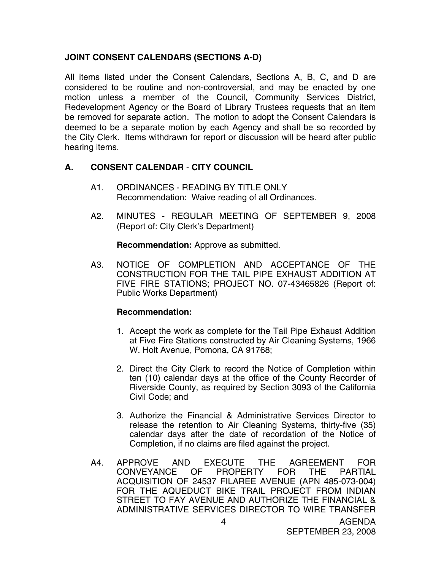## **JOINT CONSENT CALENDARS (SECTIONS A-D)**

All items listed under the Consent Calendars, Sections A, B, C, and D are considered to be routine and non-controversial, and may be enacted by one motion unless a member of the Council, Community Services District, Redevelopment Agency or the Board of Library Trustees requests that an item be removed for separate action. The motion to adopt the Consent Calendars is deemed to be a separate motion by each Agency and shall be so recorded by the City Clerk. Items withdrawn for report or discussion will be heard after public hearing items.

## **A. CONSENT CALENDAR** - **CITY COUNCIL**

- A1. ORDINANCES READING BY TITLE ONLY Recommendation: Waive reading of all Ordinances.
- A2. MINUTES REGULAR MEETING OF SEPTEMBER 9, 2008 (Report of: City Clerk's Department)

**Recommendation:** Approve as submitted.

A3. NOTICE OF COMPLETION AND ACCEPTANCE OF THE CONSTRUCTION FOR THE TAIL PIPE EXHAUST ADDITION AT FIVE FIRE STATIONS; PROJECT NO. 07-43465826 (Report of: Public Works Department)

## **Recommendation:**

- 1. Accept the work as complete for the Tail Pipe Exhaust Addition at Five Fire Stations constructed by Air Cleaning Systems, 1966 W. Holt Avenue, Pomona, CA 91768;
- 2. Direct the City Clerk to record the Notice of Completion within ten (10) calendar days at the office of the County Recorder of Riverside County, as required by Section 3093 of the California Civil Code; and
- 3. Authorize the Financial & Administrative Services Director to release the retention to Air Cleaning Systems, thirty-five (35) calendar days after the date of recordation of the Notice of Completion, if no claims are filed against the project.
- A4. APPROVE AND EXECUTE THE AGREEMENT FOR<br>CONVEYANCE OF PROPERTY FOR THE PARTIAL CONVEYANCE OF PROPERTY FOR THE PARTIAL ACQUISITION OF 24537 FILAREE AVENUE (APN 485-073-004) FOR THE AQUEDUCT BIKE TRAIL PROJECT FROM INDIAN STREET TO FAY AVENUE AND AUTHORIZE THE FINANCIAL & ADMINISTRATIVE SERVICES DIRECTOR TO WIRE TRANSFER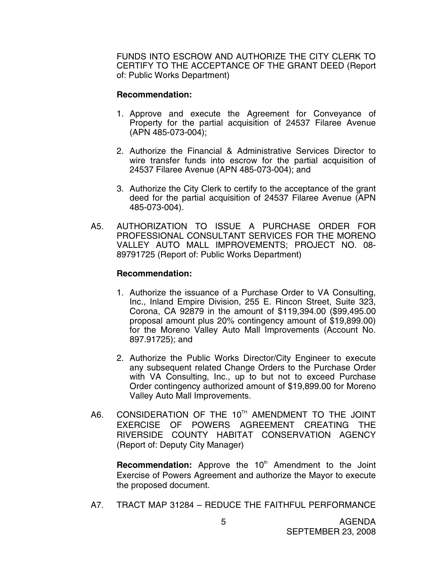FUNDS INTO ESCROW AND AUTHORIZE THE CITY CLERK TO CERTIFY TO THE ACCEPTANCE OF THE GRANT DEED (Report of: Public Works Department)

#### **Recommendation:**

- 1. Approve and execute the Agreement for Conveyance of Property for the partial acquisition of 24537 Filaree Avenue (APN 485-073-004);
- 2. Authorize the Financial & Administrative Services Director to wire transfer funds into escrow for the partial acquisition of 24537 Filaree Avenue (APN 485-073-004); and
- 3. Authorize the City Clerk to certify to the acceptance of the grant deed for the partial acquisition of 24537 Filaree Avenue (APN 485-073-004).
- A5. AUTHORIZATION TO ISSUE A PURCHASE ORDER FOR PROFESSIONAL CONSULTANT SERVICES FOR THE MORENO VALLEY AUTO MALL IMPROVEMENTS; PROJECT NO. 08- 89791725 (Report of: Public Works Department)

## **Recommendation:**

- 1. Authorize the issuance of a Purchase Order to VA Consulting, Inc., Inland Empire Division, 255 E. Rincon Street, Suite 323, Corona, CA 92879 in the amount of \$119,394.00 (\$99,495.00 proposal amount plus 20% contingency amount of \$19,899.00) for the Moreno Valley Auto Mall Improvements (Account No. 897.91725); and
- 2. Authorize the Public Works Director/City Engineer to execute any subsequent related Change Orders to the Purchase Order with VA Consulting, Inc., up to but not to exceed Purchase Order contingency authorized amount of \$19,899.00 for Moreno Valley Auto Mall Improvements.
- A6. CONSIDERATION OF THE 10<sup>TH</sup> AMENDMENT TO THE JOINT EXERCISE OF POWERS AGREEMENT CREATING THE RIVERSIDE COUNTY HABITAT CONSERVATION AGENCY (Report of: Deputy City Manager)

**Recommendation:** Approve the 10<sup>th</sup> Amendment to the Joint Exercise of Powers Agreement and authorize the Mayor to execute the proposed document.

A7. TRACT MAP 31284 – REDUCE THE FAITHFUL PERFORMANCE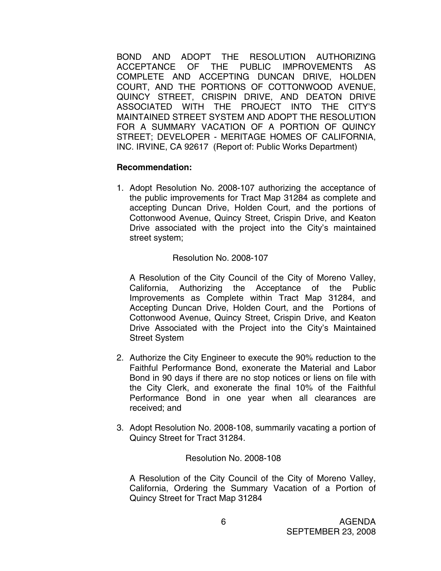BOND AND ADOPT THE RESOLUTION AUTHORIZING ACCEPTANCE OF THE PUBLIC IMPROVEMENTS AS COMPLETE AND ACCEPTING DUNCAN DRIVE, HOLDEN COURT, AND THE PORTIONS OF COTTONWOOD AVENUE, QUINCY STREET, CRISPIN DRIVE, AND DEATON DRIVE ASSOCIATED WITH THE PROJECT INTO THE CITY'S MAINTAINED STREET SYSTEM AND ADOPT THE RESOLUTION FOR A SUMMARY VACATION OF A PORTION OF QUINCY STREET; DEVELOPER - MERITAGE HOMES OF CALIFORNIA, INC. IRVINE, CA 92617 (Report of: Public Works Department)

#### **Recommendation:**

1. Adopt Resolution No. 2008-107 authorizing the acceptance of the public improvements for Tract Map 31284 as complete and accepting Duncan Drive, Holden Court, and the portions of Cottonwood Avenue, Quincy Street, Crispin Drive, and Keaton Drive associated with the project into the City's maintained street system;

## Resolution No. 2008-107

A Resolution of the City Council of the City of Moreno Valley, California, Authorizing the Acceptance of the Public Improvements as Complete within Tract Map 31284, and Accepting Duncan Drive, Holden Court, and the Portions of Cottonwood Avenue, Quincy Street, Crispin Drive, and Keaton Drive Associated with the Project into the City's Maintained Street System

- 2. Authorize the City Engineer to execute the 90% reduction to the Faithful Performance Bond, exonerate the Material and Labor Bond in 90 days if there are no stop notices or liens on file with the City Clerk, and exonerate the final 10% of the Faithful Performance Bond in one year when all clearances are received; and
- 3. Adopt Resolution No. 2008-108, summarily vacating a portion of Quincy Street for Tract 31284.

#### Resolution No. 2008-108

A Resolution of the City Council of the City of Moreno Valley, California, Ordering the Summary Vacation of a Portion of Quincy Street for Tract Map 31284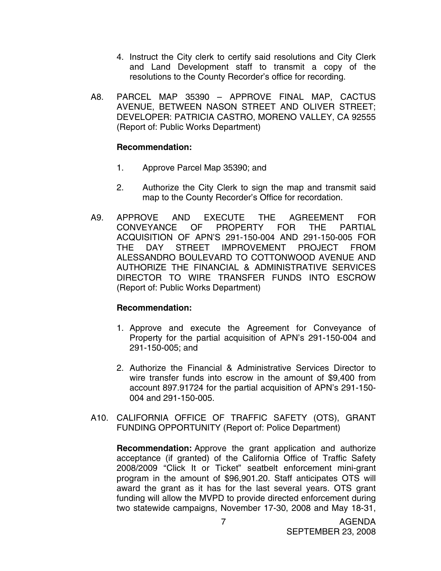- 4. Instruct the City clerk to certify said resolutions and City Clerk and Land Development staff to transmit a copy of the resolutions to the County Recorder's office for recording.
- A8. PARCEL MAP 35390 APPROVE FINAL MAP, CACTUS AVENUE, BETWEEN NASON STREET AND OLIVER STREET; DEVELOPER: PATRICIA CASTRO, MORENO VALLEY, CA 92555 (Report of: Public Works Department)

## **Recommendation:**

- 1. Approve Parcel Map 35390; and
- 2. Authorize the City Clerk to sign the map and transmit said map to the County Recorder's Office for recordation.
- A9. APPROVE AND EXECUTE THE AGREEMENT FOR CONVEYANCE OF PROPERTY FOR THE PARTIAL ACQUISITION OF APN'S 291-150-004 AND 291-150-005 FOR THE DAY STREET IMPROVEMENT PROJECT FROM ALESSANDRO BOULEVARD TO COTTONWOOD AVENUE AND AUTHORIZE THE FINANCIAL & ADMINISTRATIVE SERVICES DIRECTOR TO WIRE TRANSFER FUNDS INTO ESCROW (Report of: Public Works Department)

## **Recommendation:**

- 1. Approve and execute the Agreement for Conveyance of Property for the partial acquisition of APN's 291-150-004 and 291-150-005; and
- 2. Authorize the Financial & Administrative Services Director to wire transfer funds into escrow in the amount of \$9,400 from account 897.91724 for the partial acquisition of APN's 291-150- 004 and 291-150-005.
- A10. CALIFORNIA OFFICE OF TRAFFIC SAFETY (OTS), GRANT FUNDING OPPORTUNITY (Report of: Police Department)

**Recommendation:** Approve the grant application and authorize acceptance (if granted) of the California Office of Traffic Safety 2008/2009 "Click It or Ticket" seatbelt enforcement mini-grant program in the amount of \$96,901.20. Staff anticipates OTS will award the grant as it has for the last several years. OTS grant funding will allow the MVPD to provide directed enforcement during two statewide campaigns, November 17-30, 2008 and May 18-31,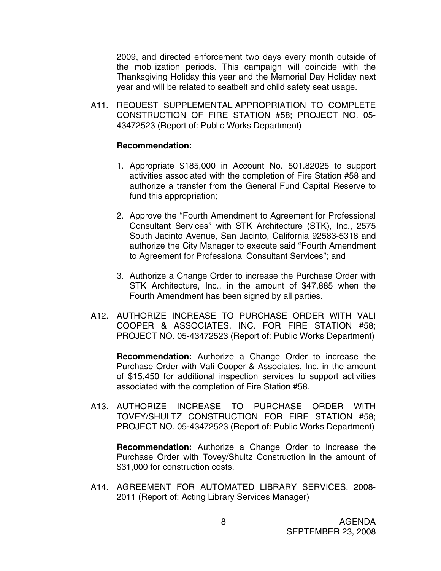2009, and directed enforcement two days every month outside of the mobilization periods. This campaign will coincide with the Thanksgiving Holiday this year and the Memorial Day Holiday next year and will be related to seatbelt and child safety seat usage.

A11. REQUEST SUPPLEMENTAL APPROPRIATION TO COMPLETE CONSTRUCTION OF FIRE STATION #58; PROJECT NO. 05- 43472523 (Report of: Public Works Department)

#### **Recommendation:**

- 1. Appropriate \$185,000 in Account No. 501.82025 to support activities associated with the completion of Fire Station #58 and authorize a transfer from the General Fund Capital Reserve to fund this appropriation;
- 2. Approve the "Fourth Amendment to Agreement for Professional Consultant Services" with STK Architecture (STK), Inc., 2575 South Jacinto Avenue, San Jacinto, California 92583-5318 and authorize the City Manager to execute said "Fourth Amendment to Agreement for Professional Consultant Services"; and
- 3. Authorize a Change Order to increase the Purchase Order with STK Architecture, Inc., in the amount of \$47,885 when the Fourth Amendment has been signed by all parties.
- A12. AUTHORIZE INCREASE TO PURCHASE ORDER WITH VALI COOPER & ASSOCIATES, INC. FOR FIRE STATION #58; PROJECT NO. 05-43472523 (Report of: Public Works Department)

 **Recommendation:** Authorize a Change Order to increase the Purchase Order with Vali Cooper & Associates, Inc. in the amount of \$15,450 for additional inspection services to support activities associated with the completion of Fire Station #58.

A13. AUTHORIZE INCREASE TO PURCHASE ORDER WITH TOVEY/SHULTZ CONSTRUCTION FOR FIRE STATION #58; PROJECT NO. 05-43472523 (Report of: Public Works Department)

 **Recommendation:** Authorize a Change Order to increase the Purchase Order with Tovey/Shultz Construction in the amount of \$31,000 for construction costs.

A14. AGREEMENT FOR AUTOMATED LIBRARY SERVICES, 2008- 2011 (Report of: Acting Library Services Manager)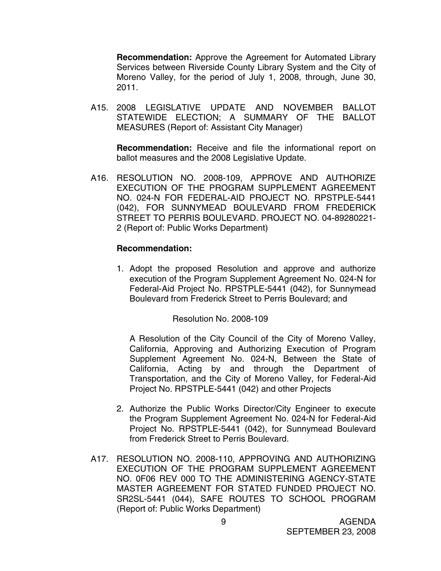**Recommendation:** Approve the Agreement for Automated Library Services between Riverside County Library System and the City of Moreno Valley, for the period of July 1, 2008, through, June 30, 2011.

A15. 2008 LEGISLATIVE UPDATE AND NOVEMBER BALLOT STATEWIDE ELECTION; A SUMMARY OF THE BALLOT MEASURES (Report of: Assistant City Manager)

**Recommendation:** Receive and file the informational report on ballot measures and the 2008 Legislative Update.

A16. RESOLUTION NO. 2008-109, APPROVE AND AUTHORIZE EXECUTION OF THE PROGRAM SUPPLEMENT AGREEMENT NO. 024-N FOR FEDERAL-AID PROJECT NO. RPSTPLE-5441 (042), FOR SUNNYMEAD BOULEVARD FROM FREDERICK STREET TO PERRIS BOULEVARD. PROJECT NO. 04-89280221- 2 (Report of: Public Works Department)

#### **Recommendation:**

1. Adopt the proposed Resolution and approve and authorize execution of the Program Supplement Agreement No. 024-N for Federal-Aid Project No. RPSTPLE-5441 (042), for Sunnymead Boulevard from Frederick Street to Perris Boulevard; and

Resolution No. 2008-109

 A Resolution of the City Council of the City of Moreno Valley, California, Approving and Authorizing Execution of Program Supplement Agreement No. 024-N, Between the State of California, Acting by and through the Department of Transportation, and the City of Moreno Valley, for Federal-Aid Project No. RPSTPLE-5441 (042) and other Projects

- 2. Authorize the Public Works Director/City Engineer to execute the Program Supplement Agreement No. 024-N for Federal-Aid Project No. RPSTPLE-5441 (042), for Sunnymead Boulevard from Frederick Street to Perris Boulevard.
- A17. RESOLUTION NO. 2008-110, APPROVING AND AUTHORIZING EXECUTION OF THE PROGRAM SUPPLEMENT AGREEMENT NO. 0F06 REV 000 TO THE ADMINISTERING AGENCY-STATE MASTER AGREEMENT FOR STATED FUNDED PROJECT NO. SR2SL-5441 (044), SAFE ROUTES TO SCHOOL PROGRAM (Report of: Public Works Department)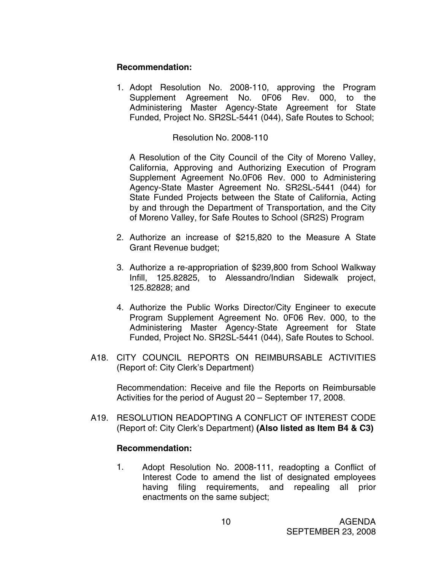## **Recommendation:**

1. Adopt Resolution No. 2008-110, approving the Program Supplement Agreement No. 0F06 Rev. 000, to the Administering Master Agency-State Agreement for State Funded, Project No. SR2SL-5441 (044), Safe Routes to School;

Resolution No. 2008-110

A Resolution of the City Council of the City of Moreno Valley, California, Approving and Authorizing Execution of Program Supplement Agreement No.0F06 Rev. 000 to Administering Agency-State Master Agreement No. SR2SL-5441 (044) for State Funded Projects between the State of California, Acting by and through the Department of Transportation, and the City of Moreno Valley, for Safe Routes to School (SR2S) Program

- 2. Authorize an increase of \$215,820 to the Measure A State Grant Revenue budget;
- 3. Authorize a re-appropriation of \$239,800 from School Walkway Infill, 125.82825, to Alessandro/Indian Sidewalk project, 125.82828; and
- 4. Authorize the Public Works Director/City Engineer to execute Program Supplement Agreement No. 0F06 Rev. 000, to the Administering Master Agency-State Agreement for State Funded, Project No. SR2SL-5441 (044), Safe Routes to School.
- A18. CITY COUNCIL REPORTS ON REIMBURSABLE ACTIVITIES (Report of: City Clerk's Department)

 Recommendation: Receive and file the Reports on Reimbursable Activities for the period of August 20 – September 17, 2008.

A19. RESOLUTION READOPTING A CONFLICT OF INTEREST CODE (Report of: City Clerk's Department) **(Also listed as Item B4 & C3)** 

## **Recommendation:**

1. Adopt Resolution No. 2008-111, readopting a Conflict of Interest Code to amend the list of designated employees having filing requirements, and repealing all prior enactments on the same subject;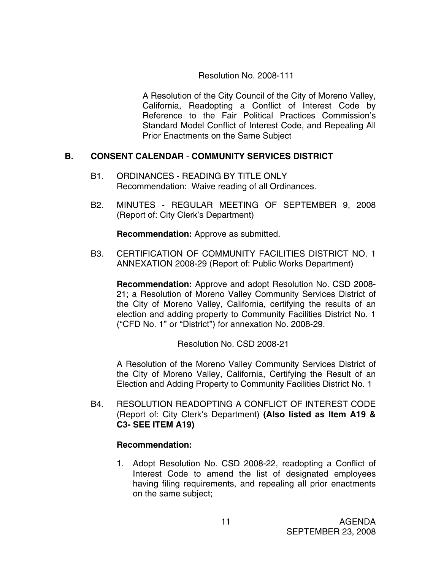## Resolution No. 2008-111

A Resolution of the City Council of the City of Moreno Valley, California, Readopting a Conflict of Interest Code by Reference to the Fair Political Practices Commission's Standard Model Conflict of Interest Code, and Repealing All Prior Enactments on the Same Subject

## **B. CONSENT CALENDAR** - **COMMUNITY SERVICES DISTRICT**

- B1. ORDINANCES READING BY TITLE ONLY Recommendation: Waive reading of all Ordinances.
- B2. MINUTES REGULAR MEETING OF SEPTEMBER 9, 2008 (Report of: City Clerk's Department)

**Recommendation:** Approve as submitted.

B3. CERTIFICATION OF COMMUNITY FACILITIES DISTRICT NO. 1 ANNEXATION 2008-29 (Report of: Public Works Department)

**Recommendation:** Approve and adopt Resolution No. CSD 2008- 21; a Resolution of Moreno Valley Community Services District of the City of Moreno Valley, California, certifying the results of an election and adding property to Community Facilities District No. 1 ("CFD No. 1" or "District") for annexation No. 2008-29.

Resolution No. CSD 2008-21

A Resolution of the Moreno Valley Community Services District of the City of Moreno Valley, California, Certifying the Result of an Election and Adding Property to Community Facilities District No. 1

B4. RESOLUTION READOPTING A CONFLICT OF INTEREST CODE (Report of: City Clerk's Department) **(Also listed as Item A19 & C3- SEE ITEM A19)**

## **Recommendation:**

1. Adopt Resolution No. CSD 2008-22, readopting a Conflict of Interest Code to amend the list of designated employees having filing requirements, and repealing all prior enactments on the same subject;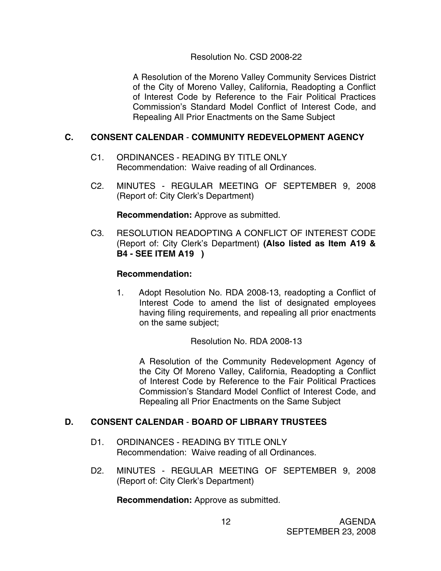## Resolution No. CSD 2008-22

A Resolution of the Moreno Valley Community Services District of the City of Moreno Valley, California, Readopting a Conflict of Interest Code by Reference to the Fair Political Practices Commission's Standard Model Conflict of Interest Code, and Repealing All Prior Enactments on the Same Subject

## **C. CONSENT CALENDAR** - **COMMUNITY REDEVELOPMENT AGENCY**

- C1. ORDINANCES READING BY TITLE ONLY Recommendation: Waive reading of all Ordinances.
- C2. MINUTES REGULAR MEETING OF SEPTEMBER 9, 2008 (Report of: City Clerk's Department)

**Recommendation:** Approve as submitted.

C3. RESOLUTION READOPTING A CONFLICT OF INTEREST CODE (Report of: City Clerk's Department) **(Also listed as Item A19 & B4 - SEE ITEM A19 )**

## **Recommendation:**

1. Adopt Resolution No. RDA 2008-13, readopting a Conflict of Interest Code to amend the list of designated employees having filing requirements, and repealing all prior enactments on the same subject;

Resolution No. RDA 2008-13

A Resolution of the Community Redevelopment Agency of the City Of Moreno Valley, California, Readopting a Conflict of Interest Code by Reference to the Fair Political Practices Commission's Standard Model Conflict of Interest Code, and Repealing all Prior Enactments on the Same Subject

## **D. CONSENT CALENDAR** - **BOARD OF LIBRARY TRUSTEES**

- D1. ORDINANCES READING BY TITLE ONLY Recommendation: Waive reading of all Ordinances.
- D2. MINUTES REGULAR MEETING OF SEPTEMBER 9, 2008 (Report of: City Clerk's Department)

 **Recommendation:** Approve as submitted.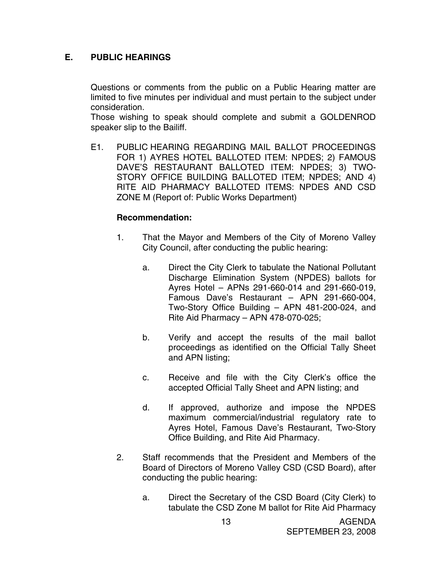## **E. PUBLIC HEARINGS**

Questions or comments from the public on a Public Hearing matter are limited to five minutes per individual and must pertain to the subject under consideration.

 Those wishing to speak should complete and submit a GOLDENROD speaker slip to the Bailiff.

E1. PUBLIC HEARING REGARDING MAIL BALLOT PROCEEDINGS FOR 1) AYRES HOTEL BALLOTED ITEM: NPDES; 2) FAMOUS DAVE'S RESTAURANT BALLOTED ITEM: NPDES; 3) TWO-STORY OFFICE BUILDING BALLOTED ITEM; NPDES; AND 4) RITE AID PHARMACY BALLOTED ITEMS: NPDES AND CSD ZONE M (Report of: Public Works Department)

#### **Recommendation:**

- 1. That the Mayor and Members of the City of Moreno Valley City Council, after conducting the public hearing:
	- a. Direct the City Clerk to tabulate the National Pollutant Discharge Elimination System (NPDES) ballots for Ayres Hotel – APNs 291-660-014 and 291-660-019, Famous Dave's Restaurant – APN 291-660-004, Two-Story Office Building – APN 481-200-024, and Rite Aid Pharmacy – APN 478-070-025;
	- b. Verify and accept the results of the mail ballot proceedings as identified on the Official Tally Sheet and APN listing;
	- c. Receive and file with the City Clerk's office the accepted Official Tally Sheet and APN listing; and
	- d. If approved, authorize and impose the NPDES maximum commercial/industrial regulatory rate to Ayres Hotel, Famous Dave's Restaurant, Two-Story Office Building, and Rite Aid Pharmacy.
- 2. Staff recommends that the President and Members of the Board of Directors of Moreno Valley CSD (CSD Board), after conducting the public hearing:
	- a. Direct the Secretary of the CSD Board (City Clerk) to tabulate the CSD Zone M ballot for Rite Aid Pharmacy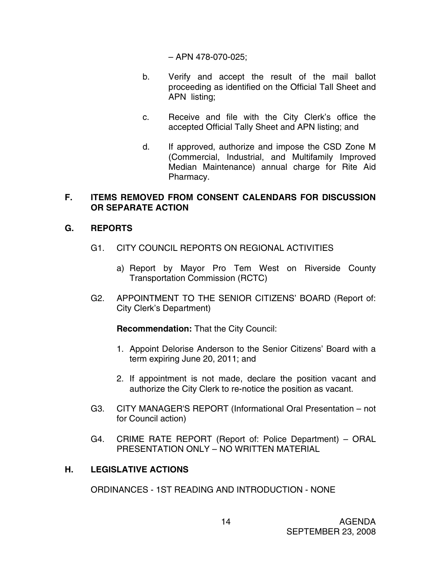– APN 478-070-025;

- b. Verify and accept the result of the mail ballot proceeding as identified on the Official Tall Sheet and APN listing;
- c. Receive and file with the City Clerk's office the accepted Official Tally Sheet and APN listing; and
- d. If approved, authorize and impose the CSD Zone M (Commercial, Industrial, and Multifamily Improved Median Maintenance) annual charge for Rite Aid Pharmacy.

## **F. ITEMS REMOVED FROM CONSENT CALENDARS FOR DISCUSSION OR SEPARATE ACTION**

## **G. REPORTS**

- G1. CITY COUNCIL REPORTS ON REGIONAL ACTIVITIES
	- a) Report by Mayor Pro Tem West on Riverside County Transportation Commission (RCTC)
- G2. APPOINTMENT TO THE SENIOR CITIZENS' BOARD (Report of: City Clerk's Department)

 **Recommendation:** That the City Council:

- 1. Appoint Delorise Anderson to the Senior Citizens' Board with a term expiring June 20, 2011; and
- 2. If appointment is not made, declare the position vacant and authorize the City Clerk to re-notice the position as vacant.
- G3. CITY MANAGER'S REPORT (Informational Oral Presentation not for Council action)
- G4. CRIME RATE REPORT (Report of: Police Department) ORAL PRESENTATION ONLY – NO WRITTEN MATERIAL

## **H. LEGISLATIVE ACTIONS**

ORDINANCES - 1ST READING AND INTRODUCTION - NONE